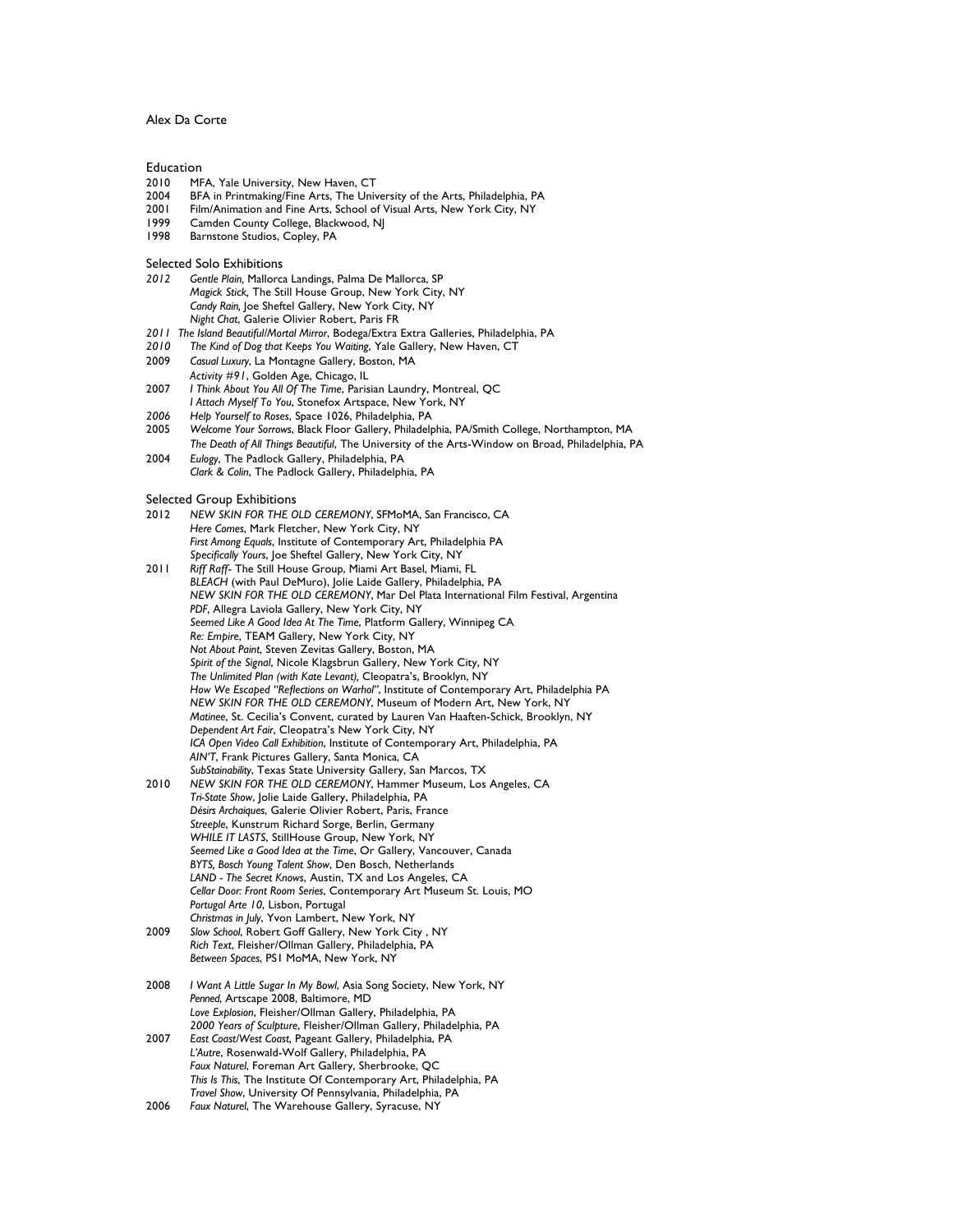## Alex Da Corte

#### Education

- 2010 MFA, Yale University, New Haven, CT<br>2004 BEA in Printmaking/Fine Arts, The Univ
- 2004 BFA in Printmaking/Fine Arts, The University of the Arts, Philadelphia, PA
- 2001 Film/Animation and Fine Arts, School of Visual Arts, New York City, NY<br>1999 Camden County College Blackwood NI
- Camden County College, Blackwood, NJ
- 1998 Barnstone Studios, Copley, PA

## Selected Solo Exhibitions

- *2012 Gentle Plain,* Mallorca Landings, Palma De Mallorca, SP *Magick Stick,* The Still House Group, New York City, NY *Candy Rain,* Joe Sheftel Gallery, New York City, NY *Night Chat*, Galerie Olivier Robert, Paris FR
- *2011 The Island Beautiful/Mortal Mirror*, Bodega/Extra Extra Galleries, Philadelphia, PA
- *2010 The Kind of Dog that Keeps You Waiting*, Yale Gallery, New Haven, CT
- 2009 *Casual Luxury*, La Montagne Gallery, Boston, MA *Activity #91*, Golden Age, Chicago, IL
- 2007 *I Think About You All Of The Time*, Parisian Laundry, Montreal, QC *I Attach Myself To You*, Stonefox Artspace, New York, NY
- *2006 Help Yourself to Roses*, Space 1026, Philadelphia, PA
- 2005 *Welcome Your Sorrows*, Black Floor Gallery, Philadelphia, PA/Smith College, Northampton, MA *The Death of All Things Beautiful*, The University of the Arts-Window on Broad, Philadelphia, PA
- 2004 *Eulogy*, The Padlock Gallery, Philadelphia, PA *Clark & Colin*, The Padlock Gallery, Philadelphia, PA

#### Selected Group Exhibitions

- 2012 *NEW SKIN FOR THE OLD CEREMONY*, SFMoMA, San Francisco, CA *Here Comes*, Mark Fletcher, New York City, NY *First Among Equals*, Institute of Contemporary Art, Philadelphia PA *Specifically Yours*, Joe Sheftel Gallery, New York City, NY
- 2011 *Riff Raff* The Still House Group, Miami Art Basel, Miami, FL *BLEACH* (with Paul DeMuro), Jolie Laide Gallery, Philadelphia, PA *NEW SKIN FOR THE OLD CEREMONY*, Mar Del Plata International Film Festival, Argentina *PDF*, Allegra Laviola Gallery, New York City, NY *Seemed Like A Good Idea At The Time*, Platform Gallery, Winnipeg CA *Re: Empire*, TEAM Gallery, New York City, NY *Not About Paint*, Steven Zevitas Gallery, Boston, MA *Spirit of the Signal*, Nicole Klagsbrun Gallery, New York City, NY *The Unlimited Plan (with Kate Levant),* Cleopatra's, Brooklyn, NY *How We Escaped "Reflections on Warhol"*, Institute of Contemporary Art, Philadelphia PA *NEW SKIN FOR THE OLD CEREMONY*, Museum of Modern Art, New York, NY *Matinee*, St. Cecilia's Convent, curated by Lauren Van Haaften-Schick, Brooklyn, NY *Dependent Art Fair*, Cleopatra's New York City, NY *ICA Open Video Call Exhibition*, Institute of Contemporary Art, Philadelphia, PA *AIN'T*, Frank Pictures Gallery, Santa Monica, CA *SubStainability*, Texas State University Gallery, San Marcos, TX
- 2010 *NEW SKIN FOR THE OLD CEREMONY*, Hammer Museum, Los Angeles, CA *Tri-State Show*, Jolie Laide Gallery, Philadelphia, PA *Désirs Archaiques*, Galerie Olivier Robert, Paris, France *Streeple*, Kunstrum Richard Sorge, Berlin, Germany *WHILE IT LASTS*, StillHouse Group, New York, NY *Seemed Like a Good Idea at the Time*, Or Gallery, Vancouver, Canada *BYTS, Bosch Young Talent Show*, Den Bosch, Netherlands *LAND - The Secret Knows*, Austin, TX and Los Angeles, CA *Cellar Door: Front Room Series*, Contemporary Art Museum St. Louis, MO *Portugal Arte 10*, Lisbon, Portugal *Christmas in July*, Yvon Lambert, New York, NY
- 2009 *Slow School*, Robert Goff Gallery, New York City , NY *Rich Text*, Fleisher/Ollman Gallery, Philadelphia, PA *Between Spaces*, PS1 MoMA, New York, NY
- 2008 *I Want A Little Sugar In My Bowl*, Asia Song Society, New York, NY *Penned*, Artscape 2008, Baltimore, MD *Love Explosion*, Fleisher/Ollman Gallery, Philadelphia, PA *2000 Years of Sculpture*, Fleisher/Ollman Gallery, Philadelphia, PA 2007 *East Coast/West Coast*, Pageant Gallery, Philadelphia, PA *L'Autre*, Rosenwald-Wolf Gallery, Philadelphia, PA
- *Faux Naturel*, Foreman Art Gallery, Sherbrooke, QC *This Is This*, The Institute Of Contemporary Art, Philadelphia, PA *Travel Show*, University Of Pennsylvania, Philadelphia, PA
- 2006 *Faux Naturel*, The Warehouse Gallery, Syracuse, NY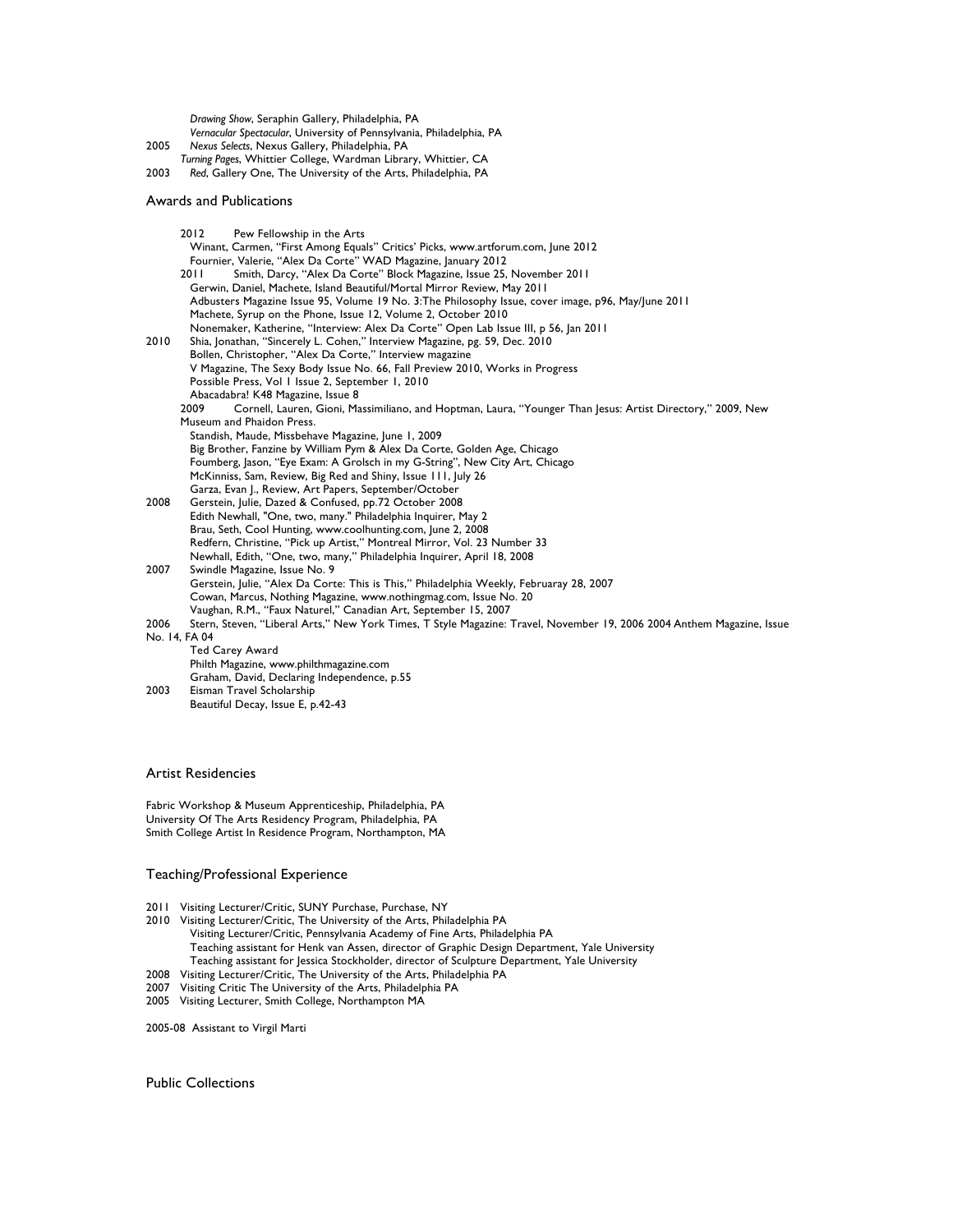*Drawing Show*, Seraphin Gallery, Philadelphia, PA *Vernacular Spectacular*, University of Pennsylvania, Philadelphia, PA 2005 *Nexus Selects*, Nexus Gallery, Philadelphia, PA *Turning Pages*, Whittier College, Wardman Library, Whittier, CA 2003 *Red*, Gallery One, The University of the Arts, Philadelphia, PA Awards and Publications 2012 Pew Fellowship in the Arts Winant, Carmen, "First Among Equals" Critics' Picks, www.artforum.com, June 2012 Fournier, Valerie, "Alex Da Corte" WAD Magazine, January 2012 2011 Smith, Darcy, "Alex Da Corte" Block Magazine, Issue 25, November 2011 Gerwin, Daniel, Machete, Island Beautiful/Mortal Mirror Review, May 2011 Adbusters Magazine Issue 95, Volume 19 No. 3:The Philosophy Issue, cover image, p96, May/June 2011 Machete, Syrup on the Phone, Issue 12, Volume 2, October 2010 Nonemaker, Katherine, "Interview: Alex Da Corte" Open Lab Issue III, p 56, Jan 2011 2010 Shia, Jonathan, "Sincerely L. Cohen," Interview Magazine, pg. 59, Dec. 2010 Bollen, Christopher, "Alex Da Corte," Interview magazine V Magazine, The Sexy Body Issue No. 66, Fall Preview 2010, Works in Progress Possible Press, Vol 1 Issue 2, September 1, 2010 Abacadabra! K48 Magazine, Issue 8<br>2009 – Cornell, Lauren, Gioni, Ma 2009 Cornell, Lauren, Gioni, Massimiliano, and Hoptman, Laura, "Younger Than Jesus: Artist Directory," 2009, New Museum and Phaidon Press. Standish, Maude, Missbehave Magazine, June 1, 2009 Big Brother, Fanzine by William Pym & Alex Da Corte, Golden Age, Chicago Foumberg, Jason, "Eye Exam: A Grolsch in my G-String", New City Art, Chicago McKinniss, Sam, Review, Big Red and Shiny, Issue 111, July 26 Garza, Evan J., Review, Art Papers, September/October 2008 Gerstein, Julie, Dazed & Confused, pp.72 October 2008 Edith Newhall, "One, two, many." Philadelphia Inquirer, May 2 Brau, Seth, Cool Hunting, www.coolhunting.com, June 2, 2008 Redfern, Christine, "Pick up Artist," Montreal Mirror, Vol. 23 Number 33 Newhall, Edith, "One, two, many," Philadelphia Inquirer, April 18, 2008 2007 Swindle Magazine, Issue No. 9 Gerstein, Julie, "Alex Da Corte: This is This," Philadelphia Weekly, Februaray 28, 2007 Cowan, Marcus, Nothing Magazine, www.nothingmag.com, Issue No. 20 Vaughan, R.M., "Faux Naturel," Canadian Art, September 15, 2007 2006 Stern, Steven, "Liberal Arts," New York Times, T Style Magazine: Travel, November 19, 2006 2004 Anthem Magazine, Issue No. 14, FA 04 Ted Carey Award Philth Magazine, www.philthmagazine.com

Graham, David, Declaring Independence, p.55 2003 Eisman Travel Scholarship Beautiful Decay, Issue E, p.42-43

# Artist Residencies

Fabric Workshop & Museum Apprenticeship, Philadelphia, PA University Of The Arts Residency Program, Philadelphia, PA Smith College Artist In Residence Program, Northampton, MA

## Teaching/Professional Experience

- 2011 Visiting Lecturer/Critic, SUNY Purchase, Purchase, NY
- 2010 Visiting Lecturer/Critic, The University of the Arts, Philadelphia PA Visiting Lecturer/Critic, Pennsylvania Academy of Fine Arts, Philadelphia PA Teaching assistant for Henk van Assen, director of Graphic Design Department, Yale University Teaching assistant for Jessica Stockholder, director of Sculpture Department, Yale University
- 2008 Visiting Lecturer/Critic, The University of the Arts, Philadelphia PA
- 2007 Visiting Critic The University of the Arts, Philadelphia PA
- 2005 Visiting Lecturer, Smith College, Northampton MA

2005-08 Assistant to Virgil Marti

Public Collections